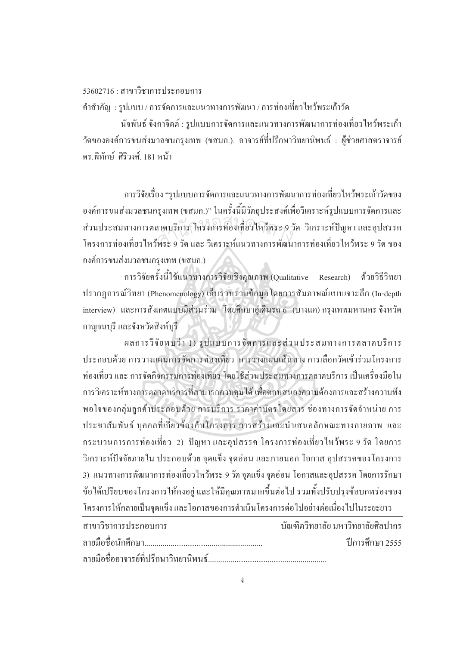$53602716 \cdot \pi$ าขาวิชาการประกอบการ

คำสำคัญ : รูปแบบ / การจัดการและแนวทางการพัฒนา / การท่องเที่ยวใหว้พระเก้าวัด

นัจพันธ์ จังกาจิตต์ : รูปแบบการจัดการและแนวทางการพัฒนาการท่องเที่ยวใหว้พระเก้า วัดขององค์การขนส่งมวลชนกรุงเทพ (ขสมก.). อาจารย์ที่ปรึกษาวิทยานิพนธ์ : ผู้ช่วยศาสตราจารย์ ื่ดร พิทักน์ ศิริวงศ์ 181 หบ้า

การวิจัยเรื่อง "รูปแบบการจัดการและแนวทางการพัฒนาการท่องเที่ยวใหว้พระเก้าวัดของ ºÉ องค์การขนส่งมวลชนกรุงเทพ (ขสมก.)" ในครั้งนี้มีวัตถุประสงค์เพื่อวิเคราะห์รูปแบบการจัดการและ ºÉ ส่วนประสมทางการตลาดบริการ โครงการท่องเที่ยวใหว้พระ 9 วัด วิเคราะห์ปัญหา และอุปสรรค<br>โครงการท่องเที่ยวใหว้พระ 9 วัด และ วิเคราะห์แนวทางการพัฒนาการท่องเที่ยวใหว้พระ 9 วัด ของ โครงการท่องเที่ยวใหว้พระ 9 วัด และ วิเคราะห์แนวทางการพัฒนาการท่องเที่ยวใหว้พระ 9 วัด ของ องค์การขนส่งมวลชนกรุงเทพ (ขสมก.)

การวิจัยครั้งนี้ใช้แนวทางการวิจัยเชิงคุณภาพ (Qualitative Research) ด้วยวิธีวิทยา .<br>.<br>. ปรากฎการณ์วิทยา (Phenomenology) เก็บรวบรวมข้อมูลโดยการสัมภาษณ์แบบเจาะลึก (In-depth interview) และการสังเกตแบบมีส่วนร่วม โดยศึกษาอู่เดินรถ 6 (บางแค) กรุงเทพมหานคร จังหวัด กาญจนบรี และจังหวัดสิงห์บรี

 $\;$ ผลการวิจัยพบว่า 1) รูปแบบการจัดการและส่วนประสมทางการตลาดบริการ ประกอบด้วย การวางแผนการจัดการท่องเที่ยว | การวางแผนเส้นทาง การเลือกวัดเข้าร่วมโครงการ ท่องเที่ยว และ การจัดกิจกรรมการท่องเที่ยว โดยใช้ส่วนประสมทางการตลาดบริการ เป็นเครื่องมือใน ∫ ¸É  $\overline{a}$ การวิเคราะห์ทางการตลาดบริการที่สามารถควบคุม'ได้ เพื่อตอบสนองความต้องการและสร้างความพึง ¸É พอใจของกลุ่มลูกค้าประกอบด้วย การบริการ ราคาค่าบัตรโดยสาร ช่องทางการจัดจำหน่าย การ ประชาสัมพันธ์ บุคคลที่เกี่ยวข้องกับโครงการ การสร้างและนำเสนอลักษณะทางกายภาพ และ กระบวนการการท่องเที่ยว 2) ปัญหา และอุปสรรค โครงการท่องเที่ยวใหว้พระ 9 วัด โดยการ วิเคราะห์ปัจจัยภายใน ประกอบด้วย จุดแข็ง จุดอ่อน และภายนอก โอกาส อุปสรรคของโครงการ 3) แนวทางการพัฒนาการท่องเที่ยวใหว้พระ 9 วัค จุดแข็ง จุดอ่อน โอกาสและอุปสรรค โดยการรักษา ข้อใด้เปรียบของโครงการให้คงอยู่ และให้มีคุณภาพมากขึ้นต่อไป รวมทั้งปรับปรุงข้อบกพร่องของ โครงการให้กลายเป็นจดแข็ง และ โอกาสของการคำเนินโครงการต่อไปอย่างต่อเนื่องไปในระยะยาว

| ิสาขาวิชาการประกอบการ | ้ บัณฑิตวิทยาลัย มหาวิทยาลัยศิลปากร |
|-----------------------|-------------------------------------|
|                       | ์ ปีการศึกษา 2555                   |
|                       |                                     |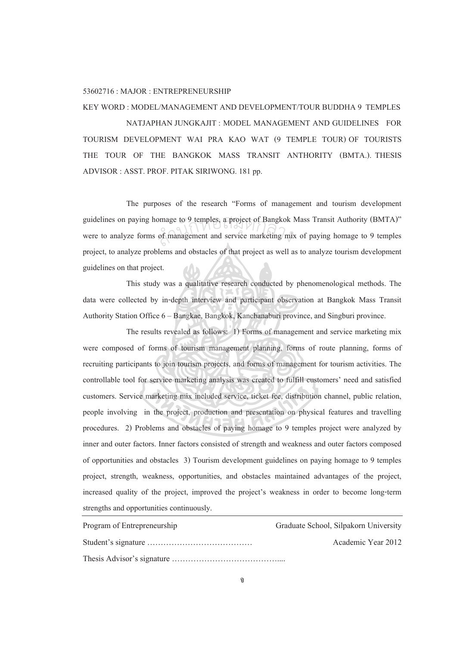## 53602716 : MAJOR : ENTREPRENEURSHIP

## KEY WORD : MODEL/MANAGEMENT AND DEVELOPMENT/TOUR BUDDHA 9 TEMPLES NATJAPHAN JUNGKAJIT : MODEL MANAGEMENT AND GUIDELINESFOR TOURISM DEVELOPMENT WAI PRA KAO WAT (9 TEMPLE TOUR) OF TOURISTS THE TOUR OF THE BANGKOK MASS TRANSIT ANTHORITY (BMTA.). THESIS ADVISOR : ASST. PROF. PITAK SIRIWONG. 181 pp.

 The purposes of the research "Forms of management and tourism development guidelines on paying homage to 9 temples, a project of Bangkok Mass Transit Authority (BMTA)" were to analyze forms of management and service marketing mix of paying homage to 9 temples project, to analyze problems and obstacles of that project as well as to analyze tourism development guidelines on that project. omage to 9 temples, a project of Bangkok<br>of management and service marketing mi

 This study was a qualitative research conducted by phenomenological methods. The data were collected by in-depth interview and participant observation at Bangkok Mass Transit Authority Station Office 6 – Bangkae, Bangkok, Kanchanaburi province, and Singburi province.

 The results revealed as follows: 1) Forms of management and service marketing mix were composed of forms of tourism management planning, forms of route planning, forms of recruiting participants to join tourism projects, and forms of management for tourism activities. The controllable tool for service marketing analysis was created to fulfill customers' need and satisfied customers. Service marketing mix included service, ticket fee, distribution channel, public relation, people involving in the project, production and presentation on physical features and travelling procedures. 2) Problems and obstacles of paying homage to 9 temples project were analyzed by inner and outer factors. Inner factors consisted of strength and weakness and outer factors composed of opportunities and obstacles 3) Tourism development guidelines on paying homage to 9 temples project, strength, weakness, opportunities, and obstacles maintained advantages of the project, increased quality of the project, improved the project's weakness in order to become long-term strengths and opportunities continuously.

| Program of Entrepreneurship | Graduate School, Silpakorn University |
|-----------------------------|---------------------------------------|
|                             | Academic Year 2012                    |
|                             |                                       |